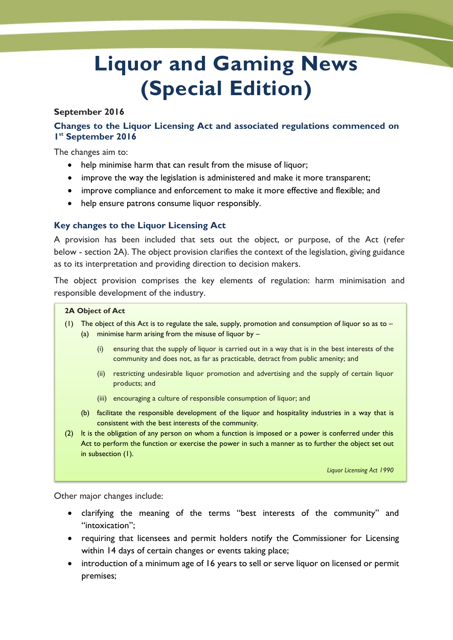# **Liquor and Gaming News (Special Edition)**

### **September 2016**

## **Changes to the Liquor Licensing Act and associated regulations commenced on 1 st September 2016**

The changes aim to:

- help minimise harm that can result from the misuse of liquor;
- improve the way the legislation is administered and make it more transparent;
- improve compliance and enforcement to make it more effective and flexible; and
- help ensure patrons consume liquor responsibly.

## **Key changes to the Liquor Licensing Act**

A provision has been included that sets out the object, or purpose, of the Act (refer below - section 2A). The object provision clarifies the context of the legislation, giving guidance as to its interpretation and providing direction to decision makers.

The object provision comprises the key elements of regulation: harm minimisation and responsible development of the industry.

#### **2A Object of Act**

- (1) The object of this Act is to regulate the sale, supply, promotion and consumption of liquor so as to  $-$ 
	- (a) minimise harm arising from the misuse of liquor by  $-$ 
		- (i) ensuring that the supply of liquor is carried out in a way that is in the best interests of the community and does not, as far as practicable, detract from public amenity; and
		- (ii) restricting undesirable liquor promotion and advertising and the supply of certain liquor products; and
		- (iii) encouraging a culture of responsible consumption of liquor; and
	- (b) facilitate the responsible development of the liquor and hospitality industries in a way that is consistent with the best interests of the community.
- (2) It is the obligation of any person on whom a function is imposed or a power is conferred under this Act to perform the function or exercise the power in such a manner as to further the object set out in subsection (1).

*Liquor Licensing Act 1990*

Other major changes include:

- clarifying the meaning of the terms "best interests of the community" and "intoxication";
- requiring that licensees and permit holders notify the Commissioner for Licensing within 14 days of certain changes or events taking place;
- introduction of a minimum age of 16 years to sell or serve liquor on licensed or permit premises;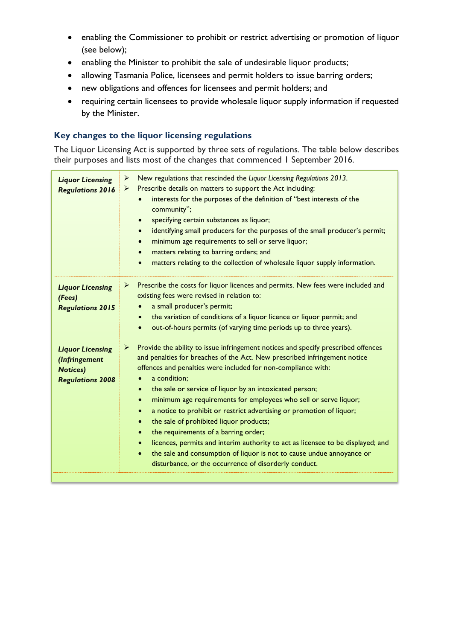- enabling the Commissioner to prohibit or restrict advertising or promotion of liquor (see below);
- enabling the Minister to prohibit the sale of undesirable liquor products;
- allowing Tasmania Police, licensees and permit holders to issue barring orders;
- new obligations and offences for licensees and permit holders; and
- requiring certain licensees to provide wholesale liquor supply information if requested by the Minister.

# **Key changes to the liquor licensing regulations**

The Liquor Licensing Act is supported by three sets of regulations. The table below describes their purposes and lists most of the changes that commenced 1 September 2016.

| <b>Liquor Licensing</b><br><b>Regulations 2016</b>                                     | New regulations that rescinded the Liquor Licensing Regulations 2013.<br>➤<br>Prescribe details on matters to support the Act including:<br>➤<br>interests for the purposes of the definition of "best interests of the<br>community";<br>specifying certain substances as liquor;<br>$\bullet$<br>identifying small producers for the purposes of the small producer's permit;<br>$\bullet$<br>minimum age requirements to sell or serve liquor;<br>$\bullet$<br>matters relating to barring orders; and<br>$\bullet$<br>matters relating to the collection of wholesale liquor supply information.<br>$\bullet$                                                                                                                                                                                                                                              |
|----------------------------------------------------------------------------------------|----------------------------------------------------------------------------------------------------------------------------------------------------------------------------------------------------------------------------------------------------------------------------------------------------------------------------------------------------------------------------------------------------------------------------------------------------------------------------------------------------------------------------------------------------------------------------------------------------------------------------------------------------------------------------------------------------------------------------------------------------------------------------------------------------------------------------------------------------------------|
| <b>Liquor Licensing</b><br>(Fees)<br><b>Regulations 2015</b>                           | Prescribe the costs for liquor licences and permits. New fees were included and<br>➤<br>existing fees were revised in relation to:<br>a small producer's permit;<br>the variation of conditions of a liquor licence or liquor permit; and<br>$\bullet$<br>out-of-hours permits (of varying time periods up to three years).<br>$\bullet$                                                                                                                                                                                                                                                                                                                                                                                                                                                                                                                       |
| <b>Liquor Licensing</b><br>(Infringement<br><b>Notices)</b><br><b>Regulations 2008</b> | Provide the ability to issue infringement notices and specify prescribed offences<br>➤<br>and penalties for breaches of the Act. New prescribed infringement notice<br>offences and penalties were included for non-compliance with:<br>a condition;<br>the sale or service of liquor by an intoxicated person;<br>$\bullet$<br>minimum age requirements for employees who sell or serve liquor;<br>$\bullet$<br>a notice to prohibit or restrict advertising or promotion of liquor;<br>$\bullet$<br>the sale of prohibited liquor products;<br>$\bullet$<br>the requirements of a barring order;<br>$\bullet$<br>licences, permits and interim authority to act as licensee to be displayed; and<br>$\bullet$<br>the sale and consumption of liquor is not to cause undue annoyance or<br>$\bullet$<br>disturbance, or the occurrence of disorderly conduct. |